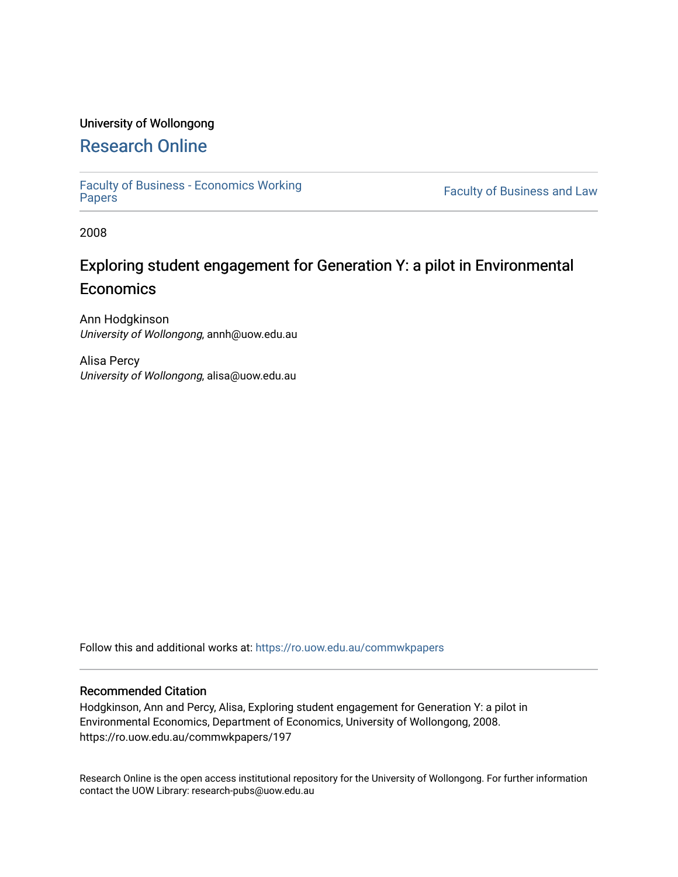## University of Wollongong

## [Research Online](https://ro.uow.edu.au/)

[Faculty of Business - Economics Working](https://ro.uow.edu.au/commwkpapers) 

Faculty of Business and Law

2008

## Exploring student engagement for Generation Y: a pilot in Environmental **Economics**

Ann Hodgkinson University of Wollongong, annh@uow.edu.au

Alisa Percy University of Wollongong, alisa@uow.edu.au

Follow this and additional works at: [https://ro.uow.edu.au/commwkpapers](https://ro.uow.edu.au/commwkpapers?utm_source=ro.uow.edu.au%2Fcommwkpapers%2F197&utm_medium=PDF&utm_campaign=PDFCoverPages)

#### Recommended Citation

Hodgkinson, Ann and Percy, Alisa, Exploring student engagement for Generation Y: a pilot in Environmental Economics, Department of Economics, University of Wollongong, 2008. https://ro.uow.edu.au/commwkpapers/197

Research Online is the open access institutional repository for the University of Wollongong. For further information contact the UOW Library: research-pubs@uow.edu.au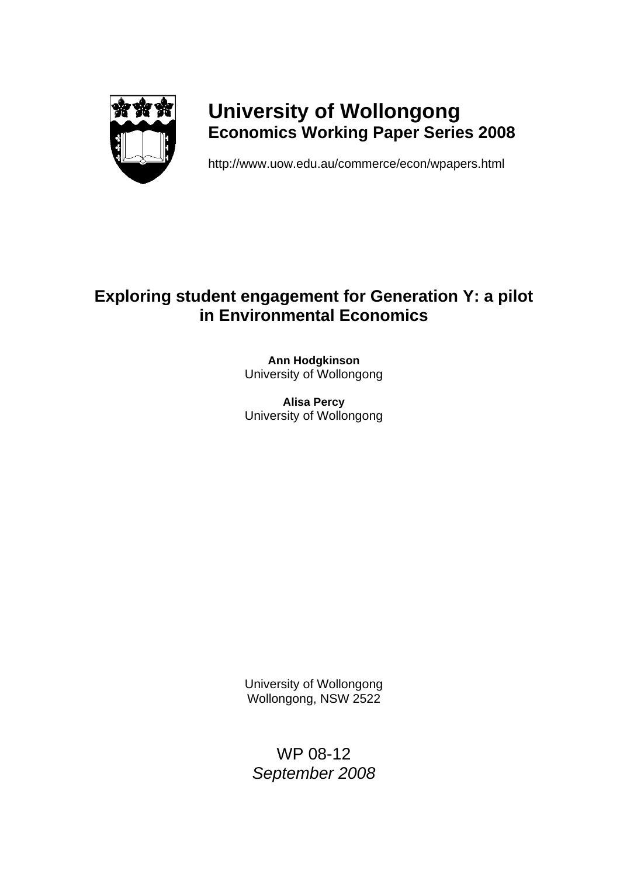

# **University of Wollongong Economics Working Paper Series 2008**

http://www.uow.edu.au/commerce/econ/wpapers.html

## **Exploring student engagement for Generation Y: a pilot in Environmental Economics**

**Ann Hodgkinson**  University of Wollongong

**Alisa Percy**  University of Wollongong

University of Wollongong Wollongong, NSW 2522

WP 08-12 *September 2008*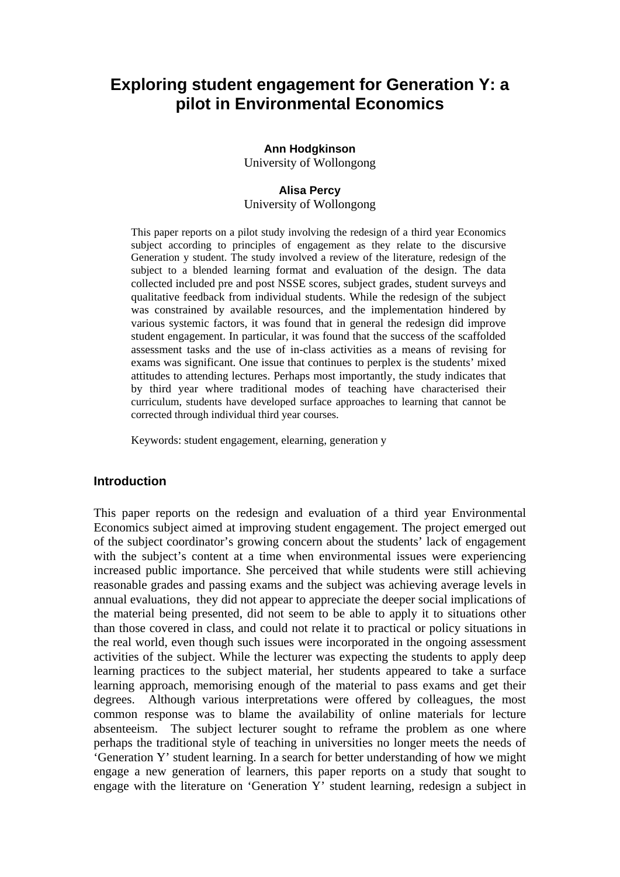## **Exploring student engagement for Generation Y: a pilot in Environmental Economics**

#### **Ann Hodgkinson**

University of Wollongong

#### **Alisa Percy**

University of Wollongong

This paper reports on a pilot study involving the redesign of a third year Economics subject according to principles of engagement as they relate to the discursive Generation y student. The study involved a review of the literature, redesign of the subject to a blended learning format and evaluation of the design. The data collected included pre and post NSSE scores, subject grades, student surveys and qualitative feedback from individual students. While the redesign of the subject was constrained by available resources, and the implementation hindered by various systemic factors, it was found that in general the redesign did improve student engagement. In particular, it was found that the success of the scaffolded assessment tasks and the use of in-class activities as a means of revising for exams was significant. One issue that continues to perplex is the students' mixed attitudes to attending lectures. Perhaps most importantly, the study indicates that by third year where traditional modes of teaching have characterised their curriculum, students have developed surface approaches to learning that cannot be corrected through individual third year courses.

Keywords: student engagement, elearning, generation y

#### **Introduction**

This paper reports on the redesign and evaluation of a third year Environmental Economics subject aimed at improving student engagement. The project emerged out of the subject coordinator's growing concern about the students' lack of engagement with the subject's content at a time when environmental issues were experiencing increased public importance. She perceived that while students were still achieving reasonable grades and passing exams and the subject was achieving average levels in annual evaluations, they did not appear to appreciate the deeper social implications of the material being presented, did not seem to be able to apply it to situations other than those covered in class, and could not relate it to practical or policy situations in the real world, even though such issues were incorporated in the ongoing assessment activities of the subject. While the lecturer was expecting the students to apply deep learning practices to the subject material, her students appeared to take a surface learning approach, memorising enough of the material to pass exams and get their degrees. Although various interpretations were offered by colleagues, the most common response was to blame the availability of online materials for lecture absenteeism. The subject lecturer sought to reframe the problem as one where perhaps the traditional style of teaching in universities no longer meets the needs of 'Generation Y' student learning. In a search for better understanding of how we might engage a new generation of learners, this paper reports on a study that sought to engage with the literature on 'Generation Y' student learning, redesign a subject in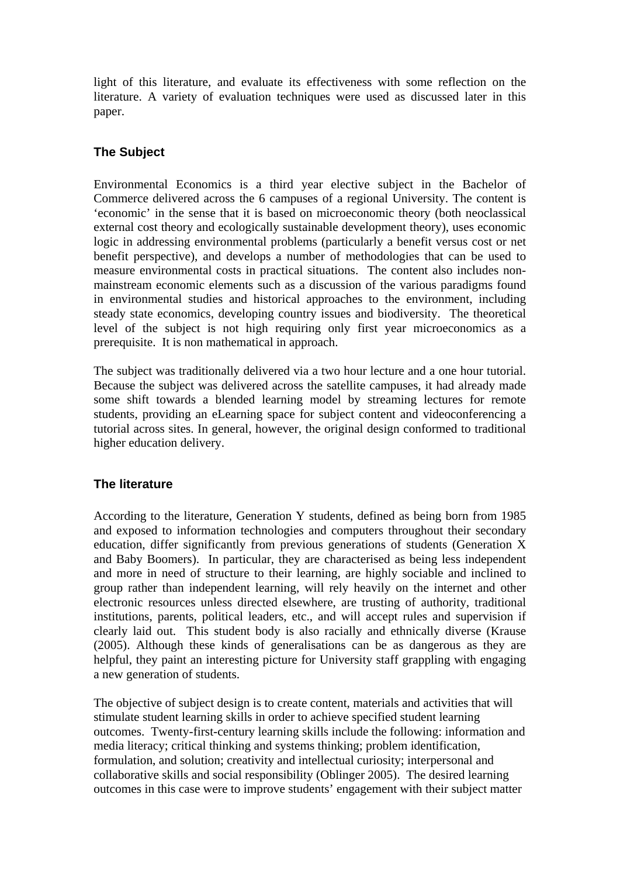light of this literature, and evaluate its effectiveness with some reflection on the literature. A variety of evaluation techniques were used as discussed later in this paper.

## **The Subject**

Environmental Economics is a third year elective subject in the Bachelor of Commerce delivered across the 6 campuses of a regional University. The content is 'economic' in the sense that it is based on microeconomic theory (both neoclassical external cost theory and ecologically sustainable development theory), uses economic logic in addressing environmental problems (particularly a benefit versus cost or net benefit perspective), and develops a number of methodologies that can be used to measure environmental costs in practical situations. The content also includes nonmainstream economic elements such as a discussion of the various paradigms found in environmental studies and historical approaches to the environment, including steady state economics, developing country issues and biodiversity. The theoretical level of the subject is not high requiring only first year microeconomics as a prerequisite. It is non mathematical in approach.

The subject was traditionally delivered via a two hour lecture and a one hour tutorial. Because the subject was delivered across the satellite campuses, it had already made some shift towards a blended learning model by streaming lectures for remote students, providing an eLearning space for subject content and videoconferencing a tutorial across sites. In general, however, the original design conformed to traditional higher education delivery.

### **The literature**

According to the literature, Generation Y students, defined as being born from 1985 and exposed to information technologies and computers throughout their secondary education, differ significantly from previous generations of students (Generation X and Baby Boomers). In particular, they are characterised as being less independent and more in need of structure to their learning, are highly sociable and inclined to group rather than independent learning, will rely heavily on the internet and other electronic resources unless directed elsewhere, are trusting of authority, traditional institutions, parents, political leaders, etc., and will accept rules and supervision if clearly laid out. This student body is also racially and ethnically diverse (Krause (2005). Although these kinds of generalisations can be as dangerous as they are helpful, they paint an interesting picture for University staff grappling with engaging a new generation of students.

The objective of subject design is to create content, materials and activities that will stimulate student learning skills in order to achieve specified student learning outcomes. Twenty-first-century learning skills include the following: information and media literacy; critical thinking and systems thinking; problem identification, formulation, and solution; creativity and intellectual curiosity; interpersonal and collaborative skills and social responsibility (Oblinger 2005). The desired learning outcomes in this case were to improve students' engagement with their subject matter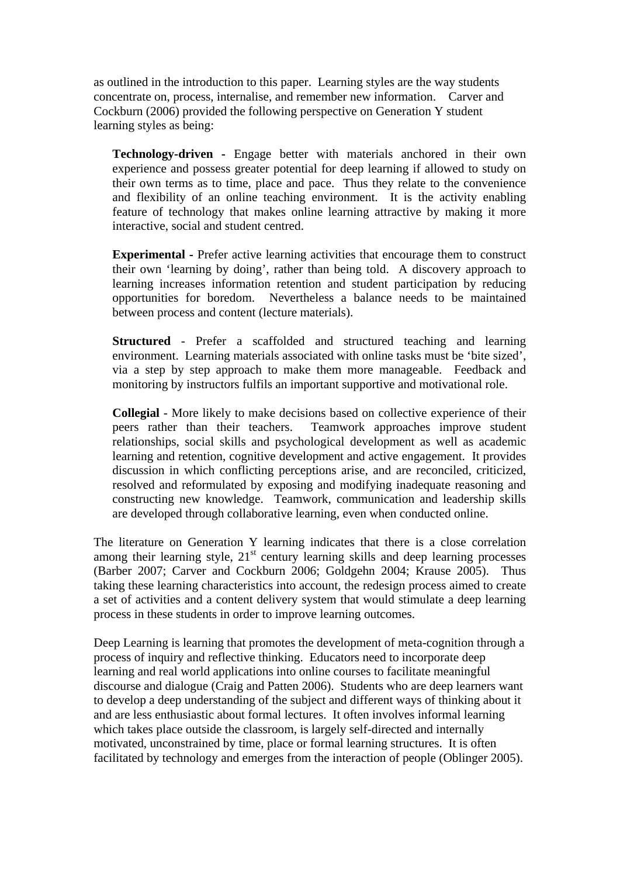as outlined in the introduction to this paper. Learning styles are the way students concentrate on, process, internalise, and remember new information. Carver and Cockburn (2006) provided the following perspective on Generation Y student learning styles as being:

**Technology-driven -** Engage better with materials anchored in their own experience and possess greater potential for deep learning if allowed to study on their own terms as to time, place and pace. Thus they relate to the convenience and flexibility of an online teaching environment. It is the activity enabling feature of technology that makes online learning attractive by making it more interactive, social and student centred.

**Experimental -** Prefer active learning activities that encourage them to construct their own 'learning by doing', rather than being told. A discovery approach to learning increases information retention and student participation by reducing opportunities for boredom. Nevertheless a balance needs to be maintained between process and content (lecture materials).

**Structured** - Prefer a scaffolded and structured teaching and learning environment. Learning materials associated with online tasks must be 'bite sized', via a step by step approach to make them more manageable. Feedback and monitoring by instructors fulfils an important supportive and motivational role.

**Collegial** - More likely to make decisions based on collective experience of their peers rather than their teachers. Teamwork approaches improve student relationships, social skills and psychological development as well as academic learning and retention, cognitive development and active engagement. It provides discussion in which conflicting perceptions arise, and are reconciled, criticized, resolved and reformulated by exposing and modifying inadequate reasoning and constructing new knowledge. Teamwork, communication and leadership skills are developed through collaborative learning, even when conducted online.

The literature on Generation Y learning indicates that there is a close correlation among their learning style,  $21<sup>st</sup>$  century learning skills and deep learning processes (Barber 2007; Carver and Cockburn 2006; Goldgehn 2004; Krause 2005). Thus taking these learning characteristics into account, the redesign process aimed to create a set of activities and a content delivery system that would stimulate a deep learning process in these students in order to improve learning outcomes.

Deep Learning is learning that promotes the development of meta-cognition through a process of inquiry and reflective thinking. Educators need to incorporate deep learning and real world applications into online courses to facilitate meaningful discourse and dialogue (Craig and Patten 2006). Students who are deep learners want to develop a deep understanding of the subject and different ways of thinking about it and are less enthusiastic about formal lectures. It often involves informal learning which takes place outside the classroom, is largely self-directed and internally motivated, unconstrained by time, place or formal learning structures. It is often facilitated by technology and emerges from the interaction of people (Oblinger 2005).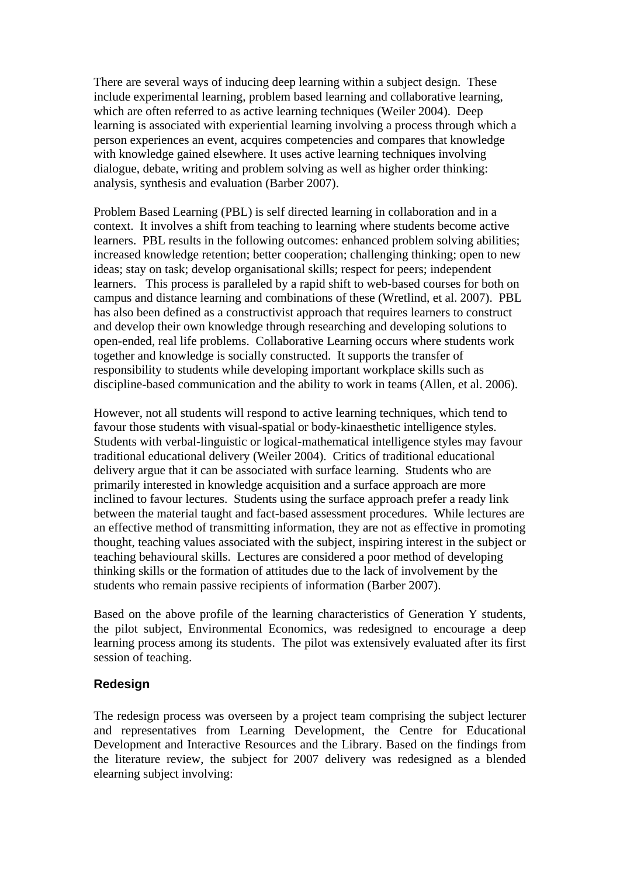There are several ways of inducing deep learning within a subject design. These include experimental learning, problem based learning and collaborative learning, which are often referred to as active learning techniques (Weiler 2004). Deep learning is associated with experiential learning involving a process through which a person experiences an event, acquires competencies and compares that knowledge with knowledge gained elsewhere. It uses active learning techniques involving dialogue, debate, writing and problem solving as well as higher order thinking: analysis, synthesis and evaluation (Barber 2007).

Problem Based Learning (PBL) is self directed learning in collaboration and in a context. It involves a shift from teaching to learning where students become active learners. PBL results in the following outcomes: enhanced problem solving abilities; increased knowledge retention; better cooperation; challenging thinking; open to new ideas; stay on task; develop organisational skills; respect for peers; independent learners. This process is paralleled by a rapid shift to web-based courses for both on campus and distance learning and combinations of these (Wretlind, et al. 2007). PBL has also been defined as a constructivist approach that requires learners to construct and develop their own knowledge through researching and developing solutions to open-ended, real life problems. Collaborative Learning occurs where students work together and knowledge is socially constructed. It supports the transfer of responsibility to students while developing important workplace skills such as discipline-based communication and the ability to work in teams (Allen, et al. 2006).

However, not all students will respond to active learning techniques, which tend to favour those students with visual-spatial or body-kinaesthetic intelligence styles. Students with verbal-linguistic or logical-mathematical intelligence styles may favour traditional educational delivery (Weiler 2004). Critics of traditional educational delivery argue that it can be associated with surface learning. Students who are primarily interested in knowledge acquisition and a surface approach are more inclined to favour lectures. Students using the surface approach prefer a ready link between the material taught and fact-based assessment procedures. While lectures are an effective method of transmitting information, they are not as effective in promoting thought, teaching values associated with the subject, inspiring interest in the subject or teaching behavioural skills. Lectures are considered a poor method of developing thinking skills or the formation of attitudes due to the lack of involvement by the students who remain passive recipients of information (Barber 2007).

Based on the above profile of the learning characteristics of Generation Y students, the pilot subject, Environmental Economics, was redesigned to encourage a deep learning process among its students. The pilot was extensively evaluated after its first session of teaching.

### **Redesign**

The redesign process was overseen by a project team comprising the subject lecturer and representatives from Learning Development, the Centre for Educational Development and Interactive Resources and the Library. Based on the findings from the literature review, the subject for 2007 delivery was redesigned as a blended elearning subject involving: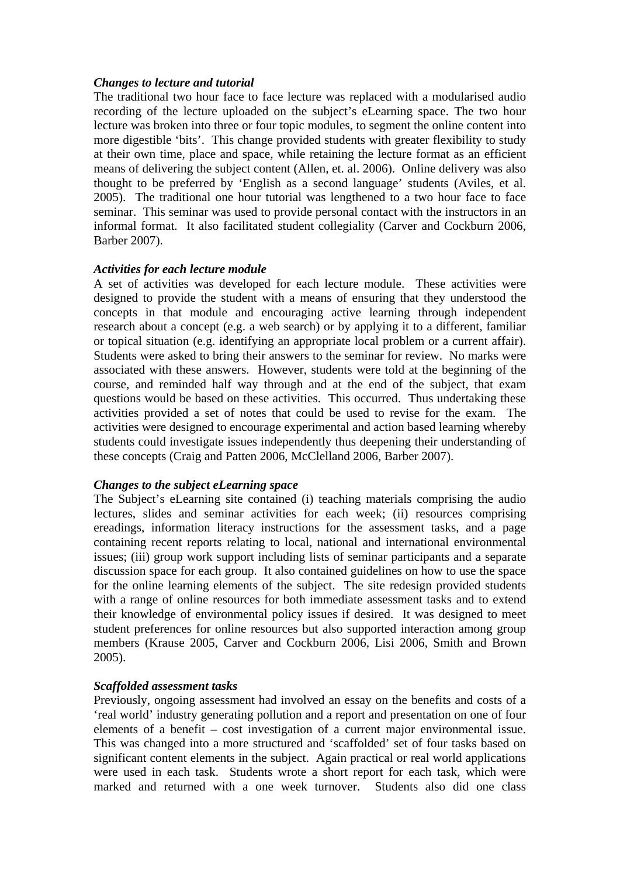#### *Changes to lecture and tutorial*

The traditional two hour face to face lecture was replaced with a modularised audio recording of the lecture uploaded on the subject's eLearning space. The two hour lecture was broken into three or four topic modules, to segment the online content into more digestible 'bits'. This change provided students with greater flexibility to study at their own time, place and space, while retaining the lecture format as an efficient means of delivering the subject content (Allen, et. al. 2006). Online delivery was also thought to be preferred by 'English as a second language' students (Aviles, et al. 2005). The traditional one hour tutorial was lengthened to a two hour face to face seminar. This seminar was used to provide personal contact with the instructors in an informal format. It also facilitated student collegiality (Carver and Cockburn 2006, Barber 2007).

#### *Activities for each lecture module*

A set of activities was developed for each lecture module. These activities were designed to provide the student with a means of ensuring that they understood the concepts in that module and encouraging active learning through independent research about a concept (e.g. a web search) or by applying it to a different, familiar or topical situation (e.g. identifying an appropriate local problem or a current affair). Students were asked to bring their answers to the seminar for review. No marks were associated with these answers. However, students were told at the beginning of the course, and reminded half way through and at the end of the subject, that exam questions would be based on these activities. This occurred. Thus undertaking these activities provided a set of notes that could be used to revise for the exam. The activities were designed to encourage experimental and action based learning whereby students could investigate issues independently thus deepening their understanding of these concepts (Craig and Patten 2006, McClelland 2006, Barber 2007).

#### *Changes to the subject eLearning space*

The Subject's eLearning site contained (i) teaching materials comprising the audio lectures, slides and seminar activities for each week; (ii) resources comprising ereadings, information literacy instructions for the assessment tasks, and a page containing recent reports relating to local, national and international environmental issues; (iii) group work support including lists of seminar participants and a separate discussion space for each group. It also contained guidelines on how to use the space for the online learning elements of the subject. The site redesign provided students with a range of online resources for both immediate assessment tasks and to extend their knowledge of environmental policy issues if desired. It was designed to meet student preferences for online resources but also supported interaction among group members (Krause 2005, Carver and Cockburn 2006, Lisi 2006, Smith and Brown 2005).

#### *Scaffolded assessment tasks*

Previously, ongoing assessment had involved an essay on the benefits and costs of a 'real world' industry generating pollution and a report and presentation on one of four elements of a benefit – cost investigation of a current major environmental issue. This was changed into a more structured and 'scaffolded' set of four tasks based on significant content elements in the subject. Again practical or real world applications were used in each task. Students wrote a short report for each task, which were marked and returned with a one week turnover. Students also did one class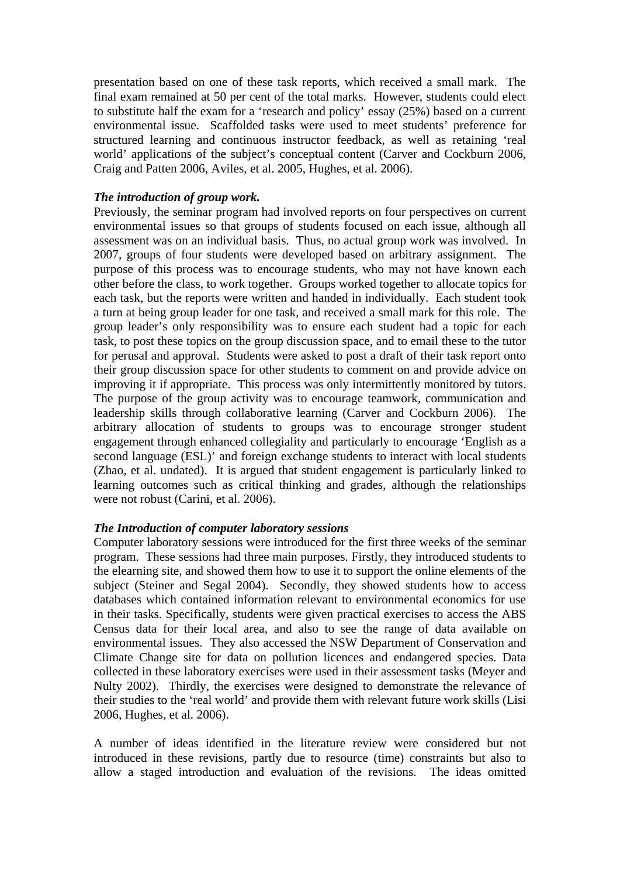presentation based on one of these task reports, which received a small mark. The final exam remained at 50 per cent of the total marks. However, students could elect to substitute half the exam for a 'research and policy' essay (25%) based on a current environmental issue. Scaffolded tasks were used to meet students' preference for structured learning and continuous instructor feedback, as well as retaining 'real world' applications of the subject's conceptual content (Carver and Cockburn 2006, Craig and Patten 2006, Aviles, et al. 2005, Hughes, et al. 2006).

#### *The introduction of group work.*

Previously, the seminar program had involved reports on four perspectives on current environmental issues so that groups of students focused on each issue, although all assessment was on an individual basis. Thus, no actual group work was involved. In 2007, groups of four students were developed based on arbitrary assignment. The purpose of this process was to encourage students, who may not have known each other before the class, to work together. Groups worked together to allocate topics for each task, but the reports were written and handed in individually. Each student took a turn at being group leader for one task, and received a small mark for this role. The group leader's only responsibility was to ensure each student had a topic for each task, to post these topics on the group discussion space, and to email these to the tutor for perusal and approval. Students were asked to post a draft of their task report onto their group discussion space for other students to comment on and provide advice on improving it if appropriate. This process was only intermittently monitored by tutors. The purpose of the group activity was to encourage teamwork, communication and leadership skills through collaborative learning (Carver and Cockburn 2006). The arbitrary allocation of students to groups was to encourage stronger student engagement through enhanced collegiality and particularly to encourage 'English as a second language (ESL)' and foreign exchange students to interact with local students (Zhao, et al. undated). It is argued that student engagement is particularly linked to learning outcomes such as critical thinking and grades, although the relationships were not robust (Carini, et al. 2006).

### *The Introduction of computer laboratory sessions*

Computer laboratory sessions were introduced for the first three weeks of the seminar program. These sessions had three main purposes. Firstly, they introduced students to the elearning site, and showed them how to use it to support the online elements of the subject (Steiner and Segal 2004). Secondly, they showed students how to access databases which contained information relevant to environmental economics for use in their tasks. Specifically, students were given practical exercises to access the ABS Census data for their local area, and also to see the range of data available on environmental issues. They also accessed the NSW Department of Conservation and Climate Change site for data on pollution licences and endangered species. Data collected in these laboratory exercises were used in their assessment tasks (Meyer and Nulty 2002). Thirdly, the exercises were designed to demonstrate the relevance of their studies to the 'real world' and provide them with relevant future work skills (Lisi 2006, Hughes, et al. 2006).

A number of ideas identified in the literature review were considered but not introduced in these revisions, partly due to resource (time) constraints but also to allow a staged introduction and evaluation of the revisions. The ideas omitted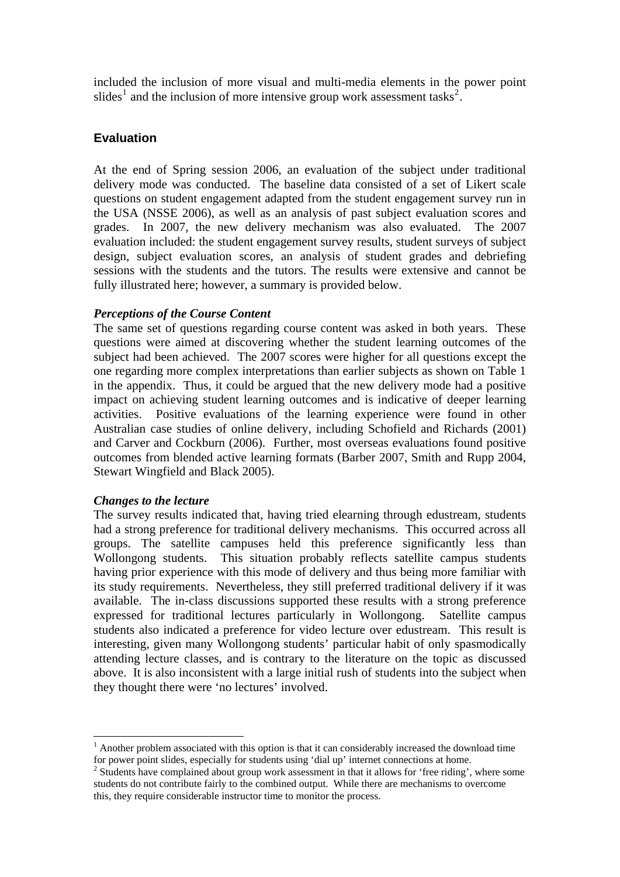included the inclusion of more visual and multi-media elements in the power point slides<sup>[1](#page-8-0)</sup> and the inclusion of more intensive group work assessment tasks<sup>[2](#page-8-1)</sup>.

#### **Evaluation**

At the end of Spring session 2006, an evaluation of the subject under traditional delivery mode was conducted. The baseline data consisted of a set of Likert scale questions on student engagement adapted from the student engagement survey run in the USA (NSSE 2006), as well as an analysis of past subject evaluation scores and grades. In 2007, the new delivery mechanism was also evaluated. The 2007 evaluation included: the student engagement survey results, student surveys of subject design, subject evaluation scores, an analysis of student grades and debriefing sessions with the students and the tutors. The results were extensive and cannot be fully illustrated here; however, a summary is provided below.

#### *Perceptions of the Course Content*

The same set of questions regarding course content was asked in both years. These questions were aimed at discovering whether the student learning outcomes of the subject had been achieved. The 2007 scores were higher for all questions except the one regarding more complex interpretations than earlier subjects as shown on Table 1 in the appendix. Thus, it could be argued that the new delivery mode had a positive impact on achieving student learning outcomes and is indicative of deeper learning activities. Positive evaluations of the learning experience were found in other Australian case studies of online delivery, including Schofield and Richards (2001) and Carver and Cockburn (2006). Further, most overseas evaluations found positive outcomes from blended active learning formats (Barber 2007, Smith and Rupp 2004, Stewart Wingfield and Black 2005).

#### *Changes to the lecture*

<u>.</u>

The survey results indicated that, having tried elearning through edustream, students had a strong preference for traditional delivery mechanisms. This occurred across all groups. The satellite campuses held this preference significantly less than Wollongong students. This situation probably reflects satellite campus students having prior experience with this mode of delivery and thus being more familiar with its study requirements. Nevertheless, they still preferred traditional delivery if it was available. The in-class discussions supported these results with a strong preference expressed for traditional lectures particularly in Wollongong. Satellite campus students also indicated a preference for video lecture over edustream. This result is interesting, given many Wollongong students' particular habit of only spasmodically attending lecture classes, and is contrary to the literature on the topic as discussed above. It is also inconsistent with a large initial rush of students into the subject when they thought there were 'no lectures' involved.

<span id="page-8-0"></span><sup>&</sup>lt;sup>1</sup> Another problem associated with this option is that it can considerably increased the download time for power point slides, especially for students using 'dial up' internet connections at home.

<span id="page-8-1"></span><sup>&</sup>lt;sup>2</sup> Students have complained about group work assessment in that it allows for 'free riding', where some students do not contribute fairly to the combined output. While there are mechanisms to overcome this, they require considerable instructor time to monitor the process.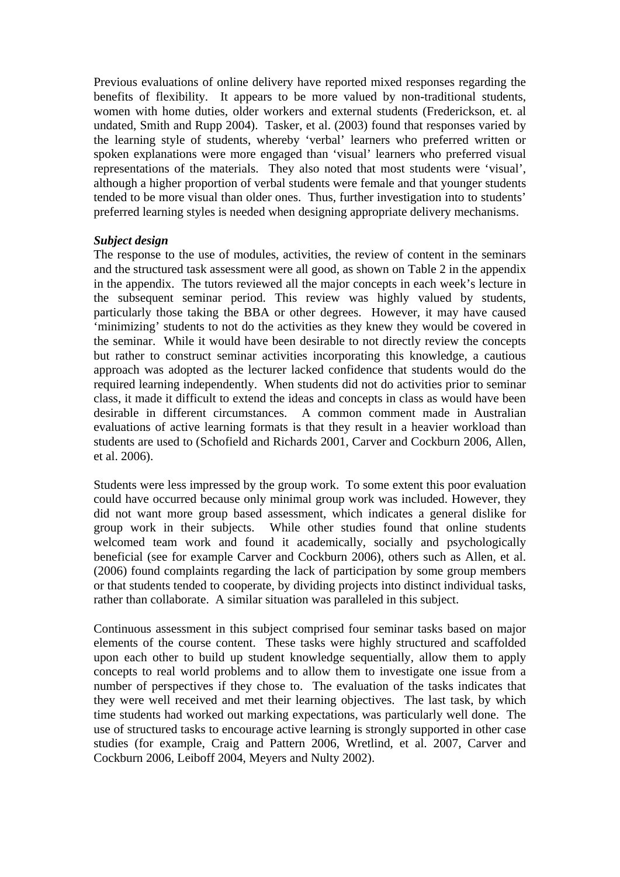Previous evaluations of online delivery have reported mixed responses regarding the benefits of flexibility. It appears to be more valued by non-traditional students, women with home duties, older workers and external students (Frederickson, et. al undated, Smith and Rupp 2004). Tasker, et al. (2003) found that responses varied by the learning style of students, whereby 'verbal' learners who preferred written or spoken explanations were more engaged than 'visual' learners who preferred visual representations of the materials. They also noted that most students were 'visual', although a higher proportion of verbal students were female and that younger students tended to be more visual than older ones. Thus, further investigation into to students' preferred learning styles is needed when designing appropriate delivery mechanisms.

#### *Subject design*

The response to the use of modules, activities, the review of content in the seminars and the structured task assessment were all good, as shown on Table 2 in the appendix in the appendix. The tutors reviewed all the major concepts in each week's lecture in the subsequent seminar period. This review was highly valued by students, particularly those taking the BBA or other degrees. However, it may have caused 'minimizing' students to not do the activities as they knew they would be covered in the seminar. While it would have been desirable to not directly review the concepts but rather to construct seminar activities incorporating this knowledge, a cautious approach was adopted as the lecturer lacked confidence that students would do the required learning independently. When students did not do activities prior to seminar class, it made it difficult to extend the ideas and concepts in class as would have been desirable in different circumstances. A common comment made in Australian evaluations of active learning formats is that they result in a heavier workload than students are used to (Schofield and Richards 2001, Carver and Cockburn 2006, Allen, et al. 2006).

Students were less impressed by the group work. To some extent this poor evaluation could have occurred because only minimal group work was included. However, they did not want more group based assessment, which indicates a general dislike for group work in their subjects. While other studies found that online students welcomed team work and found it academically, socially and psychologically beneficial (see for example Carver and Cockburn 2006), others such as Allen, et al. (2006) found complaints regarding the lack of participation by some group members or that students tended to cooperate, by dividing projects into distinct individual tasks, rather than collaborate. A similar situation was paralleled in this subject.

Continuous assessment in this subject comprised four seminar tasks based on major elements of the course content. These tasks were highly structured and scaffolded upon each other to build up student knowledge sequentially, allow them to apply concepts to real world problems and to allow them to investigate one issue from a number of perspectives if they chose to. The evaluation of the tasks indicates that they were well received and met their learning objectives. The last task, by which time students had worked out marking expectations, was particularly well done. The use of structured tasks to encourage active learning is strongly supported in other case studies (for example, Craig and Pattern 2006, Wretlind, et al. 2007, Carver and Cockburn 2006, Leiboff 2004, Meyers and Nulty 2002).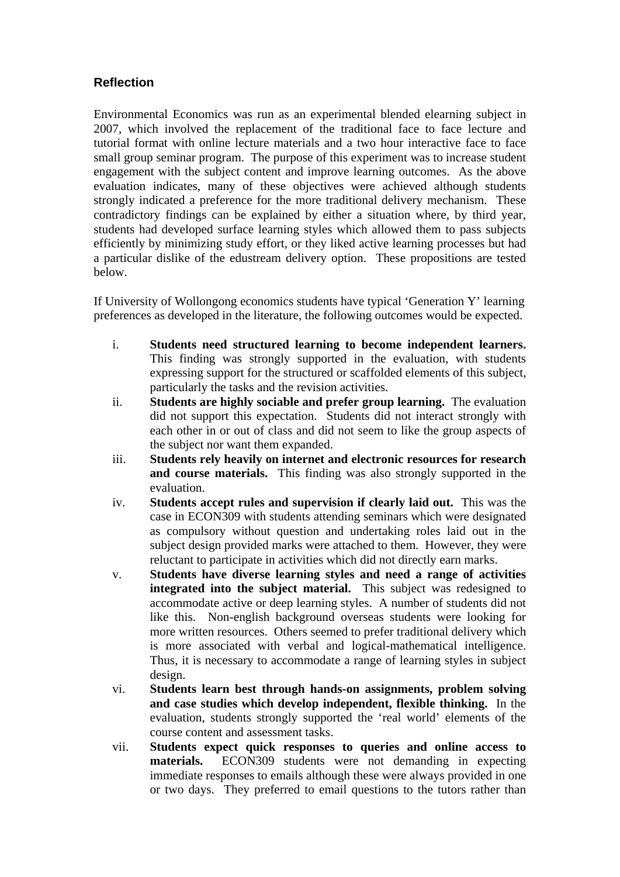## **Reflection**

Environmental Economics was run as an experimental blended elearning subject in 2007, which involved the replacement of the traditional face to face lecture and tutorial format with online lecture materials and a two hour interactive face to face small group seminar program. The purpose of this experiment was to increase student engagement with the subject content and improve learning outcomes. As the above evaluation indicates, many of these objectives were achieved although students strongly indicated a preference for the more traditional delivery mechanism. These contradictory findings can be explained by either a situation where, by third year, students had developed surface learning styles which allowed them to pass subjects efficiently by minimizing study effort, or they liked active learning processes but had a particular dislike of the edustream delivery option. These propositions are tested below.

If University of Wollongong economics students have typical 'Generation Y' learning preferences as developed in the literature, the following outcomes would be expected.

- i. **Students need structured learning to become independent learners.** This finding was strongly supported in the evaluation, with students expressing support for the structured or scaffolded elements of this subject, particularly the tasks and the revision activities.
- ii. **Students are highly sociable and prefer group learning.** The evaluation did not support this expectation. Students did not interact strongly with each other in or out of class and did not seem to like the group aspects of the subject nor want them expanded.
- iii. **Students rely heavily on internet and electronic resources for research and course materials.** This finding was also strongly supported in the evaluation.
- iv. **Students accept rules and supervision if clearly laid out.** This was the case in ECON309 with students attending seminars which were designated as compulsory without question and undertaking roles laid out in the subject design provided marks were attached to them. However, they were reluctant to participate in activities which did not directly earn marks.
- v. **Students have diverse learning styles and need a range of activities integrated into the subject material.** This subject was redesigned to accommodate active or deep learning styles. A number of students did not like this. Non-english background overseas students were looking for more written resources. Others seemed to prefer traditional delivery which is more associated with verbal and logical-mathematical intelligence. Thus, it is necessary to accommodate a range of learning styles in subject design.
- vi. **Students learn best through hands-on assignments, problem solving and case studies which develop independent, flexible thinking.** In the evaluation, students strongly supported the 'real world' elements of the course content and assessment tasks.
- vii. **Students expect quick responses to queries and online access to materials.** ECON309 students were not demanding in expecting immediate responses to emails although these were always provided in one or two days. They preferred to email questions to the tutors rather than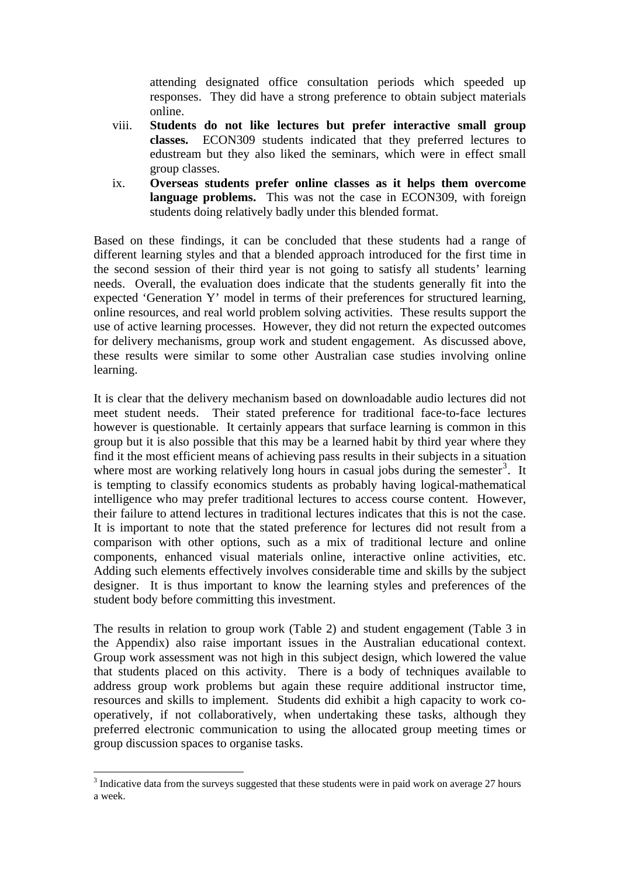attending designated office consultation periods which speeded up responses. They did have a strong preference to obtain subject materials online.

- viii. **Students do not like lectures but prefer interactive small group classes.** ECON309 students indicated that they preferred lectures to edustream but they also liked the seminars, which were in effect small group classes.
- ix. **Overseas students prefer online classes as it helps them overcome language problems.** This was not the case in ECON309, with foreign students doing relatively badly under this blended format.

Based on these findings, it can be concluded that these students had a range of different learning styles and that a blended approach introduced for the first time in the second session of their third year is not going to satisfy all students' learning needs. Overall, the evaluation does indicate that the students generally fit into the expected 'Generation Y' model in terms of their preferences for structured learning, online resources, and real world problem solving activities. These results support the use of active learning processes. However, they did not return the expected outcomes for delivery mechanisms, group work and student engagement. As discussed above, these results were similar to some other Australian case studies involving online learning.

It is clear that the delivery mechanism based on downloadable audio lectures did not meet student needs. Their stated preference for traditional face-to-face lectures however is questionable. It certainly appears that surface learning is common in this group but it is also possible that this may be a learned habit by third year where they find it the most efficient means of achieving pass results in their subjects in a situation where most are working relatively long hours in casual jobs during the semester<sup>[3](#page-11-0)</sup>. It is tempting to classify economics students as probably having logical-mathematical intelligence who may prefer traditional lectures to access course content. However, their failure to attend lectures in traditional lectures indicates that this is not the case. It is important to note that the stated preference for lectures did not result from a comparison with other options, such as a mix of traditional lecture and online components, enhanced visual materials online, interactive online activities, etc. Adding such elements effectively involves considerable time and skills by the subject designer. It is thus important to know the learning styles and preferences of the student body before committing this investment.

The results in relation to group work (Table 2) and student engagement (Table 3 in the Appendix) also raise important issues in the Australian educational context. Group work assessment was not high in this subject design, which lowered the value that students placed on this activity. There is a body of techniques available to address group work problems but again these require additional instructor time, resources and skills to implement. Students did exhibit a high capacity to work cooperatively, if not collaboratively, when undertaking these tasks, although they preferred electronic communication to using the allocated group meeting times or group discussion spaces to organise tasks.

<u>.</u>

<span id="page-11-0"></span> $3$  Indicative data from the surveys suggested that these students were in paid work on average 27 hours a week.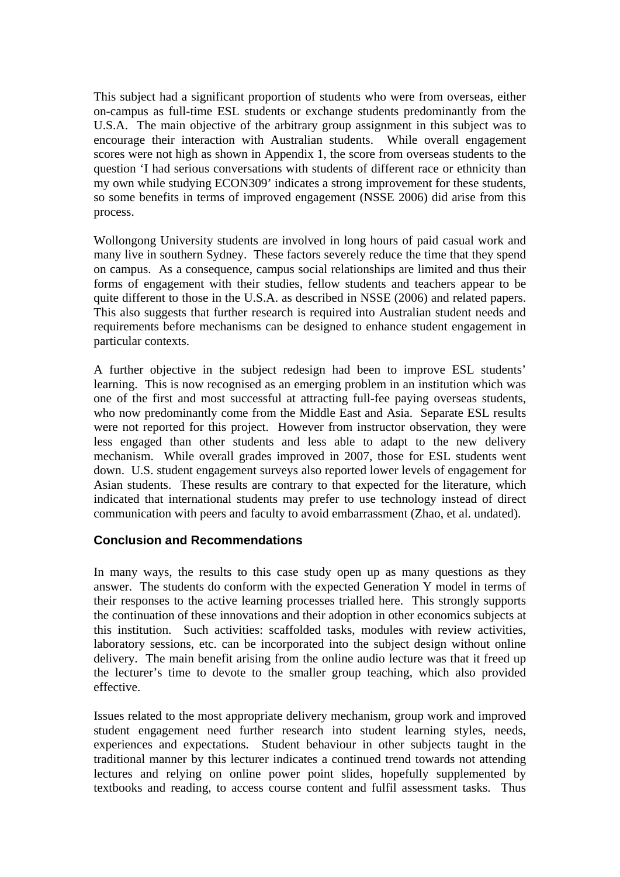This subject had a significant proportion of students who were from overseas, either on-campus as full-time ESL students or exchange students predominantly from the U.S.A. The main objective of the arbitrary group assignment in this subject was to encourage their interaction with Australian students. While overall engagement scores were not high as shown in Appendix 1, the score from overseas students to the question 'I had serious conversations with students of different race or ethnicity than my own while studying ECON309' indicates a strong improvement for these students, so some benefits in terms of improved engagement (NSSE 2006) did arise from this process.

Wollongong University students are involved in long hours of paid casual work and many live in southern Sydney. These factors severely reduce the time that they spend on campus. As a consequence, campus social relationships are limited and thus their forms of engagement with their studies, fellow students and teachers appear to be quite different to those in the U.S.A. as described in NSSE (2006) and related papers. This also suggests that further research is required into Australian student needs and requirements before mechanisms can be designed to enhance student engagement in particular contexts.

A further objective in the subject redesign had been to improve ESL students' learning. This is now recognised as an emerging problem in an institution which was one of the first and most successful at attracting full-fee paying overseas students, who now predominantly come from the Middle East and Asia. Separate ESL results were not reported for this project. However from instructor observation, they were less engaged than other students and less able to adapt to the new delivery mechanism. While overall grades improved in 2007, those for ESL students went down. U.S. student engagement surveys also reported lower levels of engagement for Asian students. These results are contrary to that expected for the literature, which indicated that international students may prefer to use technology instead of direct communication with peers and faculty to avoid embarrassment (Zhao, et al. undated).

### **Conclusion and Recommendations**

In many ways, the results to this case study open up as many questions as they answer. The students do conform with the expected Generation Y model in terms of their responses to the active learning processes trialled here. This strongly supports the continuation of these innovations and their adoption in other economics subjects at this institution. Such activities: scaffolded tasks, modules with review activities, laboratory sessions, etc. can be incorporated into the subject design without online delivery. The main benefit arising from the online audio lecture was that it freed up the lecturer's time to devote to the smaller group teaching, which also provided effective.

Issues related to the most appropriate delivery mechanism, group work and improved student engagement need further research into student learning styles, needs, experiences and expectations. Student behaviour in other subjects taught in the traditional manner by this lecturer indicates a continued trend towards not attending lectures and relying on online power point slides, hopefully supplemented by textbooks and reading, to access course content and fulfil assessment tasks. Thus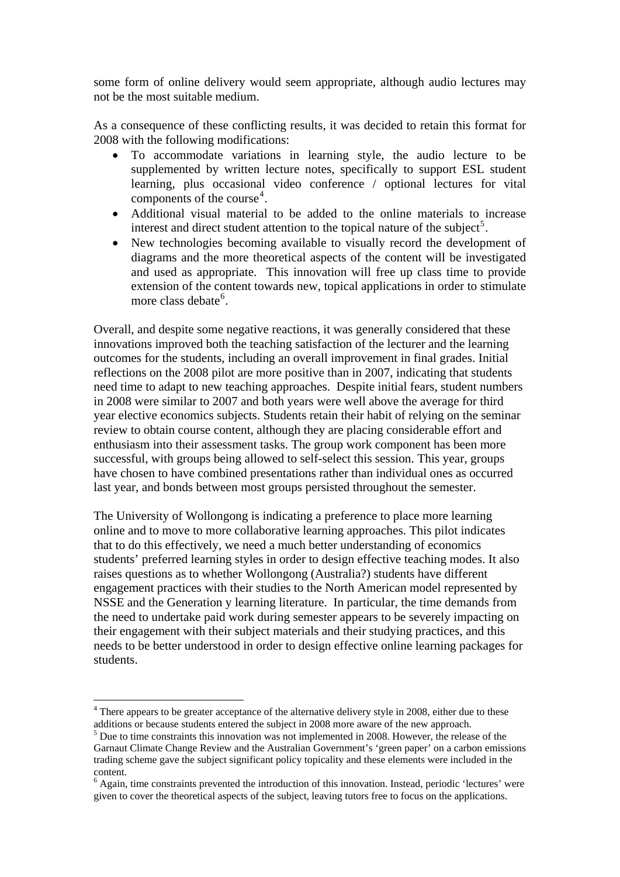some form of online delivery would seem appropriate, although audio lectures may not be the most suitable medium.

As a consequence of these conflicting results, it was decided to retain this format for 2008 with the following modifications:

- To accommodate variations in learning style, the audio lecture to be supplemented by written lecture notes, specifically to support ESL student learning, plus occasional video conference / optional lectures for vital components of the course<sup>[4](#page-13-0)</sup>.
- Additional visual material to be added to the online materials to increase interest and direct student attention to the topical nature of the subject<sup>[5](#page-13-1)</sup>.
- New technologies becoming available to visually record the development of diagrams and the more theoretical aspects of the content will be investigated and used as appropriate. This innovation will free up class time to provide extension of the content towards new, topical applications in order to stimulate more class debate<sup>[6](#page-13-2)</sup>.

Overall, and despite some negative reactions, it was generally considered that these innovations improved both the teaching satisfaction of the lecturer and the learning outcomes for the students, including an overall improvement in final grades. Initial reflections on the 2008 pilot are more positive than in 2007, indicating that students need time to adapt to new teaching approaches. Despite initial fears, student numbers in 2008 were similar to 2007 and both years were well above the average for third year elective economics subjects. Students retain their habit of relying on the seminar review to obtain course content, although they are placing considerable effort and enthusiasm into their assessment tasks. The group work component has been more successful, with groups being allowed to self-select this session. This year, groups have chosen to have combined presentations rather than individual ones as occurred last year, and bonds between most groups persisted throughout the semester.

The University of Wollongong is indicating a preference to place more learning online and to move to more collaborative learning approaches. This pilot indicates that to do this effectively, we need a much better understanding of economics students' preferred learning styles in order to design effective teaching modes. It also raises questions as to whether Wollongong (Australia?) students have different engagement practices with their studies to the North American model represented by NSSE and the Generation y learning literature. In particular, the time demands from the need to undertake paid work during semester appears to be severely impacting on their engagement with their subject materials and their studying practices, and this needs to be better understood in order to design effective online learning packages for students.

<u>.</u>

<span id="page-13-0"></span> $4$  There appears to be greater acceptance of the alternative delivery style in 2008, either due to these additions or because students entered the subject in 2008 more aware of the new approach.

<span id="page-13-1"></span><sup>&</sup>lt;sup>5</sup> Due to time constraints this innovation was not implemented in 2008. However, the release of the Garnaut Climate Change Review and the Australian Government's 'green paper' on a carbon emissions trading scheme gave the subject significant policy topicality and these elements were included in the content.

<span id="page-13-2"></span><sup>&</sup>lt;sup>6</sup> Again, time constraints prevented the introduction of this innovation. Instead, periodic 'lectures' were given to cover the theoretical aspects of the subject, leaving tutors free to focus on the applications.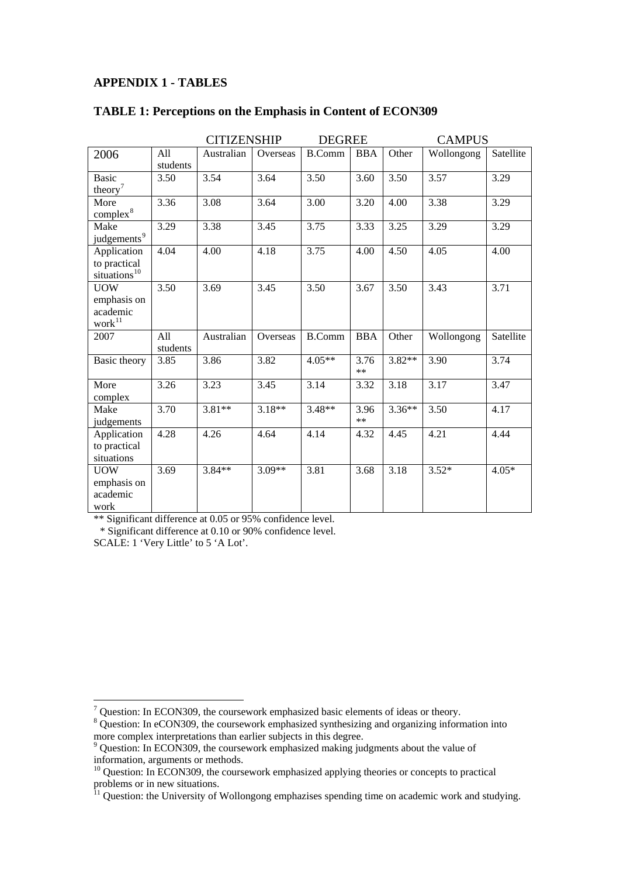#### **APPENDIX 1 - TABLES**

|                                                             |                 | <b>CITIZENSHIP</b> |          | <b>DEGREE</b> |                    | <b>CAMPUS</b> |            |           |
|-------------------------------------------------------------|-----------------|--------------------|----------|---------------|--------------------|---------------|------------|-----------|
| 2006                                                        | All<br>students | Australian         | Overseas | <b>B.Comm</b> | <b>BBA</b>         | Other         | Wollongong | Satellite |
| <b>Basic</b><br>theory <sup>7</sup>                         | 3.50            | 3.54               | 3.64     | 3.50          | 3.60               | 3.50          | 3.57       | 3.29      |
| More<br>complex <sup>8</sup>                                | 3.36            | 3.08               | 3.64     | 3.00          | 3.20               | 4.00          | 3.38       | 3.29      |
| Make<br>judgements <sup>9</sup>                             | 3.29            | 3.38               | 3.45     | 3.75          | 3.33               | 3.25          | 3.29       | 3.29      |
| Application<br>to practical<br>situations $^{10}$           | 4.04            | 4.00               | 4.18     | 3.75          | 4.00               | 4.50          | 4.05       | 4.00      |
| <b>UOW</b><br>emphasis on<br>academic<br>$\mbox{work}^{11}$ | 3.50            | 3.69               | 3.45     | 3.50          | 3.67               | 3.50          | 3.43       | 3.71      |
| 2007                                                        | All<br>students | Australian         | Overseas | <b>B.Comm</b> | <b>BBA</b>         | Other         | Wollongong | Satellite |
| Basic theory                                                | 3.85            | 3.86               | 3.82     | $4.05**$      | 3.76<br>$\ast\ast$ | $3.82**$      | 3.90       | 3.74      |
| More<br>complex                                             | 3.26            | 3.23               | 3.45     | 3.14          | 3.32               | 3.18          | 3.17       | 3.47      |
| Make<br>judgements                                          | 3.70            | $3.81**$           | $3.18**$ | $3.48**$      | 3.96<br>$\ast\ast$ | $3.36**$      | 3.50       | 4.17      |
| Application<br>to practical<br>situations                   | 4.28            | 4.26               | 4.64     | 4.14          | 4.32               | 4.45          | 4.21       | 4.44      |
| <b>UOW</b><br>emphasis on<br>academic<br>work               | 3.69            | $3.84**$           | $3.09**$ | 3.81          | 3.68               | 3.18          | $3.52*$    | $4.05*$   |

#### **TABLE 1: Perceptions on the Emphasis in Content of ECON309**

\*\* Signific ant difference at 0.05 or 95% confidence level.

\* Sig nificant difference at 0.10 or 90% confidence level.

SCALE: 1 'Very Little' to 5 'A Lot'.

T<br>
<sup>7</sup> Question: In ECON309, the coursework emphasized basic elements of ideas or theory.<br>
<sup>8</sup> Question: In eCON300, the coursework emphasized synthesizing and examining inform

<span id="page-14-1"></span><span id="page-14-0"></span><sup>&</sup>lt;sup>8</sup> Question: In eCON309, the coursework emphasized synthesizing and organizing information into more complex interpretations than earlier subjects in this degree.

<span id="page-14-2"></span><sup>&</sup>lt;sup>9</sup> Question: In ECON309, the coursework emphasized making judgments about the value of information, arguments or methods.

<span id="page-14-3"></span><sup>&</sup>lt;sup>10</sup> Question: In ECON309, the coursework emphasized applying theories or concepts to practical problems or in new situations.

<span id="page-14-4"></span><sup>&</sup>lt;sup>11</sup> Question: the University of Wollongong emphazises spending time on academic work and studying.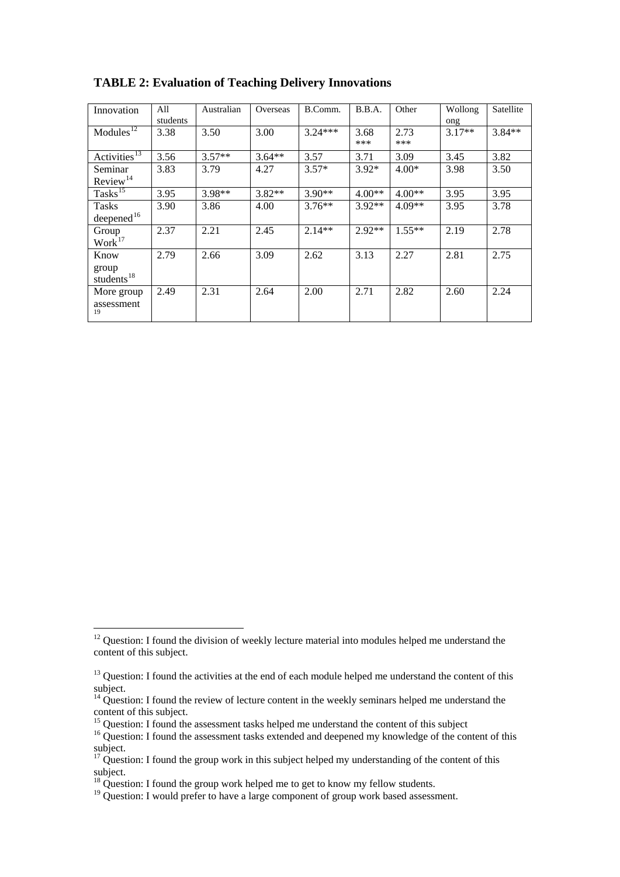| Innovation                        | All      | Australian | Overseas | B.Comm.   | B.B.A.   | Other    | Wollong  | Satellite |
|-----------------------------------|----------|------------|----------|-----------|----------|----------|----------|-----------|
|                                   | students |            |          |           |          |          | ong      |           |
| Module <sub>3</sub> <sup>12</sup> | 3.38     | 3.50       | 3.00     | $3.24***$ | 3.68     | 2.73     | $3.17**$ | $3.84**$  |
|                                   |          |            |          |           | ***      | ***      |          |           |
| Activities <sup>13</sup>          | 3.56     | $3.57**$   | $3.64**$ | 3.57      | 3.71     | 3.09     | 3.45     | 3.82      |
| Seminar                           | 3.83     | 3.79       | 4.27     | $3.57*$   | $3.92*$  | $4.00*$  | 3.98     | 3.50      |
| Review <sup>14</sup>              |          |            |          |           |          |          |          |           |
| $Tasks^{15}$                      | 3.95     | $3.98**$   | $3.82**$ | $3.90**$  | $4.00**$ | $4.00**$ | 3.95     | 3.95      |
| Tasks                             | 3.90     | 3.86       | 4.00     | $3.76***$ | $3.92**$ | $4.09**$ | 3.95     | 3.78      |
| $\frac{deepened^{16}}{2}$         |          |            |          |           |          |          |          |           |
| Group                             | 2.37     | 2.21       | 2.45     | $2.14**$  | $2.92**$ | $1.55**$ | 2.19     | 2.78      |
| Work <sup>17</sup>                |          |            |          |           |          |          |          |           |
| Know                              | 2.79     | 2.66       | 3.09     | 2.62      | 3.13     | 2.27     | 2.81     | 2.75      |
| group                             |          |            |          |           |          |          |          |           |
| students <sup>18</sup>            |          |            |          |           |          |          |          |           |
| More group                        | 2.49     | 2.31       | 2.64     | 2.00      | 2.71     | 2.82     | 2.60     | 2.24      |
| assessment                        |          |            |          |           |          |          |          |           |
| 19                                |          |            |          |           |          |          |          |           |

**TABLE 2: Evaluation of Teaching Delivery Innovations** 

<u>.</u>

<span id="page-15-0"></span> $12$  Question: I found the division of weekly lecture material into modules helped me understand the content of this subject.

<span id="page-15-1"></span><sup>&</sup>lt;sup>13</sup> Question: I found the activities at the end of each module helped me understand the content of this subject.

<span id="page-15-2"></span> $14$  Question: I found the review of lecture content in the weekly seminars helped me understand the content of this subject.

<span id="page-15-3"></span><sup>&</sup>lt;sup>15</sup> Question: I found the assessment tasks helped me understand the content of this subject

<span id="page-15-4"></span><sup>&</sup>lt;sup>16</sup> Question: I found the assessment tasks extended and deepened my knowledge of the content of this subject.

<span id="page-15-5"></span><sup>&</sup>lt;sup>17</sup> Question: I found the group work in this subject helped my understanding of the content of this subject.

<span id="page-15-6"></span> $18$  Question: I found the group work helped me to get to know my fellow students.

<span id="page-15-7"></span><sup>&</sup>lt;sup>19</sup> Question: I would prefer to have a large component of group work based assessment.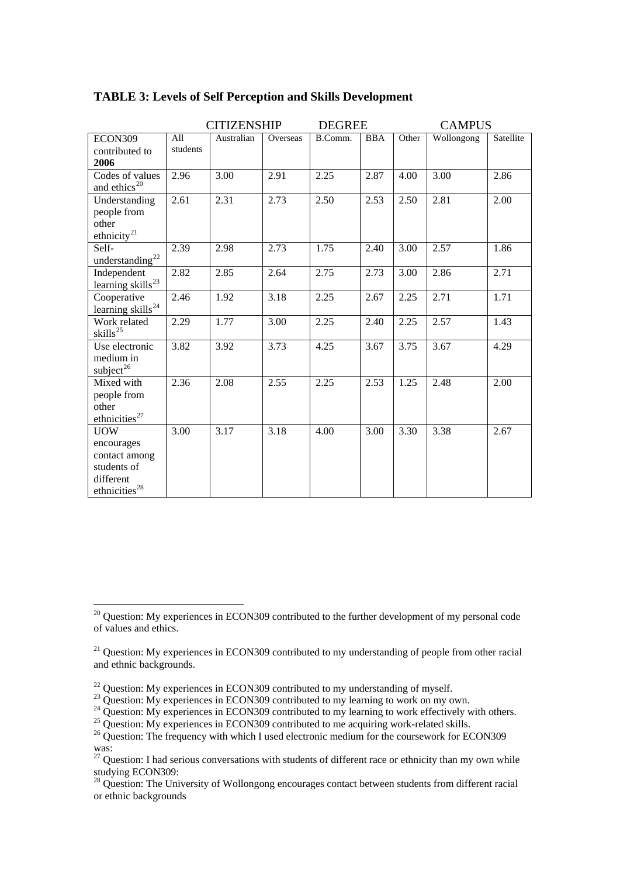|                                    |          | <b>CITIZENSHIP</b> |          | <b>DEGREE</b> |            | <b>CAMPUS</b> |            |           |
|------------------------------------|----------|--------------------|----------|---------------|------------|---------------|------------|-----------|
| ECON309                            | All      | Australian         | Overseas | B.Comm.       | <b>BBA</b> | Other         | Wollongong | Satellite |
| contributed to                     | students |                    |          |               |            |               |            |           |
| 2006                               |          |                    |          |               |            |               |            |           |
| Codes of values                    | 2.96     | 3.00               | 2.91     | 2.25          | 2.87       | 4.00          | 3.00       | 2.86      |
| and ethics <sup>20</sup>           |          |                    |          |               |            |               |            |           |
| Understanding                      | 2.61     | 2.31               | 2.73     | 2.50          | 2.53       | 2.50          | 2.81       | 2.00      |
| people from                        |          |                    |          |               |            |               |            |           |
| other                              |          |                    |          |               |            |               |            |           |
| ethnicity $21$                     |          |                    |          |               |            |               |            |           |
| Self-                              | 2.39     | 2.98               | 2.73     | 1.75          | 2.40       | 3.00          | 2.57       | 1.86      |
| understanding <sup>22</sup>        |          |                    |          |               |            |               |            |           |
| Independent                        | 2.82     | 2.85               | 2.64     | 2.75          | 2.73       | 3.00          | 2.86       | 2.71      |
| learning skills $^{23}$            |          |                    |          |               |            |               |            |           |
| Cooperative                        | 2.46     | 1.92               | 3.18     | 2.25          | 2.67       | 2.25          | 2.71       | 1.71      |
| learning skills <sup>24</sup>      |          |                    |          |               |            |               |            |           |
| Work related                       | 2.29     | 1.77               | 3.00     | 2.25          | 2.40       | 2.25          | 2.57       | 1.43      |
| skills <sup>25</sup>               |          |                    |          |               |            |               |            |           |
| Use electronic                     | 3.82     | 3.92               | 3.73     | 4.25          | 3.67       | 3.75          | 3.67       | 4.29      |
| medium in                          |          |                    |          |               |            |               |            |           |
| $\text{subject}^{26}$              |          |                    |          |               |            |               |            |           |
| Mixed with                         | 2.36     | 2.08               | 2.55     | 2.25          | 2.53       | 1.25          | 2.48       | 2.00      |
| people from                        |          |                    |          |               |            |               |            |           |
| other<br>ethnicities <sup>27</sup> |          |                    |          |               |            |               |            |           |
|                                    |          |                    |          |               |            |               |            |           |
| <b>UOW</b>                         | 3.00     | 3.17               | 3.18     | 4.00          | 3.00       | 3.30          | 3.38       | 2.67      |
| encourages                         |          |                    |          |               |            |               |            |           |
| contact among<br>students of       |          |                    |          |               |            |               |            |           |
| different                          |          |                    |          |               |            |               |            |           |
| ethnicities <sup>28</sup>          |          |                    |          |               |            |               |            |           |
|                                    |          |                    |          |               |            |               |            |           |

#### **TABLE 3: Levels of Self Perception and Skills Development**

1

<span id="page-16-0"></span> $20$  Question: My experiences in ECON309 contributed to the further development of my personal code of values and ethics.

<sup>&</sup>lt;sup>21</sup> Question: My experiences in ECON309 contributed to my understanding of people from other racial and ethnic backgrounds.

<sup>&</sup>lt;sup>22</sup> Question: My experiences in ECON309 contributed to my understanding of myself.

 $^{23}$  Question: My experiences in ECON309 contributed to my learning to work on my own.

<span id="page-16-1"></span><sup>&</sup>lt;sup>24</sup> Question: My experiences in ECON309 contributed to my learning to work effectively with others.<br><sup>25</sup> Question: My experiences in ECON309 contributed to me acquiring work-related skills.<br><sup>26</sup> Question: The frequency w

<span id="page-16-3"></span><span id="page-16-2"></span>was:

<span id="page-16-4"></span> $27$  Question: I had serious conversations with students of different race or ethnicity than my own while studying ECON309:

 $^{28}$  Question: The University of Wollongong encourages contact between students from different racial or ethnic backgrounds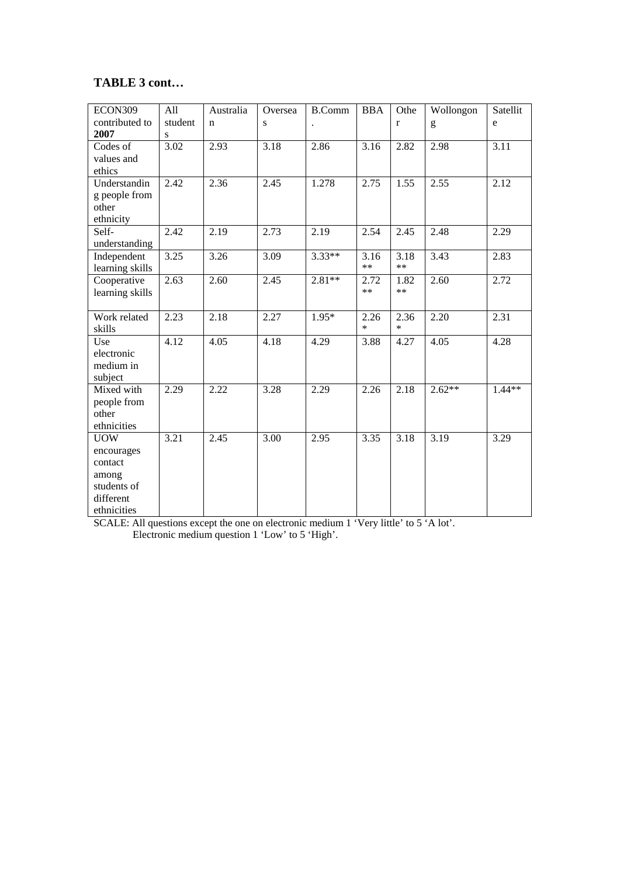## **TABLE 3 cont…**

| ECON309               | All     | Australia   | Oversea | <b>B.Comm</b> | <b>BBA</b> | Othe        | Wollongon | Satellit                          |
|-----------------------|---------|-------------|---------|---------------|------------|-------------|-----------|-----------------------------------|
| contributed to        | student | $\mathbf n$ | S       | $\bullet$     |            | $\mathbf r$ | g         | $\mathsf{e}% _{t}\left( t\right)$ |
| 2007                  | S       |             |         |               |            |             |           |                                   |
| Codes of              | 3.02    | 2.93        | 3.18    | 2.86          | 3.16       | 2.82        | 2.98      | 3.11                              |
| values and            |         |             |         |               |            |             |           |                                   |
| ethics                |         |             |         |               |            |             |           |                                   |
| Understandin          | 2.42    | 2.36        | 2.45    | 1.278         | 2.75       | 1.55        | 2.55      | 2.12                              |
| g people from         |         |             |         |               |            |             |           |                                   |
| other                 |         |             |         |               |            |             |           |                                   |
| ethnicity             |         |             |         |               |            |             |           |                                   |
| Self-                 | 2.42    | 2.19        | 2.73    | 2.19          | 2.54       | 2.45        | 2.48      | 2.29                              |
| understanding         |         |             |         |               |            |             |           |                                   |
| Independent           | 3.25    | 3.26        | 3.09    | $3.33**$      | 3.16       | 3.18        | 3.43      | 2.83                              |
| learning skills       |         |             |         |               | $**$       | $**$        |           |                                   |
| Cooperative           | 2.63    | 2.60        | 2.45    | $2.81**$      | 2.72       | 1.82        | 2.60      | 2.72                              |
| learning skills       |         |             |         |               | $\ast\ast$ | $**$        |           |                                   |
|                       |         |             |         |               |            |             |           |                                   |
| Work related          | 2.23    | 2.18        | 2.27    | $1.95*$       | 2.26       | 2.36        | 2.20      | 2.31                              |
| skills                |         |             |         |               | $\ast$     | $\ast$      |           |                                   |
| Use                   | 4.12    | 4.05        | 4.18    | 4.29          | 3.88       | 4.27        | 4.05      | 4.28                              |
| electronic            |         |             |         |               |            |             |           |                                   |
| medium in             |         |             |         |               |            |             |           |                                   |
| subject               | 2.29    |             |         |               |            |             | $2.62**$  | $1.44**$                          |
| Mixed with            |         | 2.22        | 3.28    | 2.29          | 2.26       | 2.18        |           |                                   |
| people from<br>other  |         |             |         |               |            |             |           |                                   |
| ethnicities           |         |             |         |               |            |             |           |                                   |
|                       | 3.21    | 2.45        | 3.00    | 2.95          | 3.35       | 3.18        | 3.19      | 3.29                              |
| <b>UOW</b>            |         |             |         |               |            |             |           |                                   |
| encourages<br>contact |         |             |         |               |            |             |           |                                   |
| among                 |         |             |         |               |            |             |           |                                   |
| students of           |         |             |         |               |            |             |           |                                   |
| different             |         |             |         |               |            |             |           |                                   |
| ethnicities           |         |             |         |               |            |             |           |                                   |

SCALE: All questions except the one on electronic medium 1 'Very little' to 5 'A lot'.

Electronic medium question 1 'Low' to 5 'High'.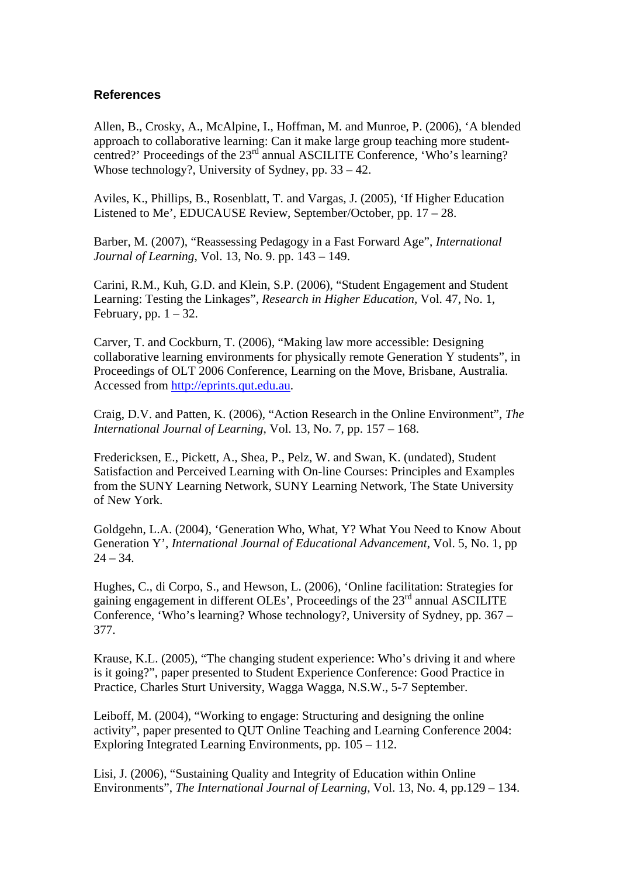#### **References**

Allen, B., Crosky, A., McAlpine, I., Hoffman, M. and Munroe, P. (2006), 'A blended approach to collaborative learning: Can it make large group teaching more studentcentred?' Proceedings of the 23rd annual ASCILITE Conference, 'Who's learning? Whose technology?, University of Sydney, pp. 33 – 42.

Aviles, K., Phillips, B., Rosenblatt, T. and Vargas, J. (2005), 'If Higher Education Listened to Me', EDUCAUSE Review, September/October, pp. 17 – 28.

Barber, M. (2007), "Reassessing Pedagogy in a Fast Forward Age", *International Journal of Learning*, Vol. 13, No. 9. pp. 143 – 149.

Carini, R.M., Kuh, G.D. and Klein, S.P. (2006), "Student Engagement and Student Learning: Testing the Linkages", *Research in Higher Education,* Vol. 47, No. 1, February, pp.  $1 - 32$ .

Carver, T. and Cockburn, T. (2006), "Making law more accessible: Designing collaborative learning environments for physically remote Generation Y students", in Proceedings of OLT 2006 Conference, Learning on the Move, Brisbane, Australia. Accessed from [http://eprints.qut.edu.au.](http://eprints.qut.edu.au/)

Craig, D.V. and Patten, K. (2006), "Action Research in the Online Environment", *The International Journal of Learning*, Vol. 13, No. 7, pp. 157 – 168.

Fredericksen, E., Pickett, A., Shea, P., Pelz, W. and Swan, K. (undated), Student Satisfaction and Perceived Learning with On-line Courses: Principles and Examples from the SUNY Learning Network, SUNY Learning Network, The State University of New York.

Goldgehn, L.A. (2004), 'Generation Who, What, Y? What You Need to Know About Generation Y', *International Journal of Educational Advancement*, Vol. 5, No. 1, pp  $24 - 34.$ 

Hughes, C., di Corpo, S., and Hewson, L. (2006), 'Online facilitation: Strategies for gaining engagement in different OLEs', Proceedings of the 23rd annual ASCILITE Conference, 'Who's learning? Whose technology?, University of Sydney, pp. 367 – 377.

Krause, K.L. (2005), "The changing student experience: Who's driving it and where is it going?", paper presented to Student Experience Conference: Good Practice in Practice, Charles Sturt University, Wagga Wagga, N.S.W., 5-7 September.

Leiboff, M. (2004), "Working to engage: Structuring and designing the online activity", paper presented to QUT Online Teaching and Learning Conference 2004: Exploring Integrated Learning Environments, pp. 105 – 112.

Lisi, J. (2006), "Sustaining Quality and Integrity of Education within Online Environments", *The International Journal of Learning*, Vol. 13, No. 4, pp.129 – 134.